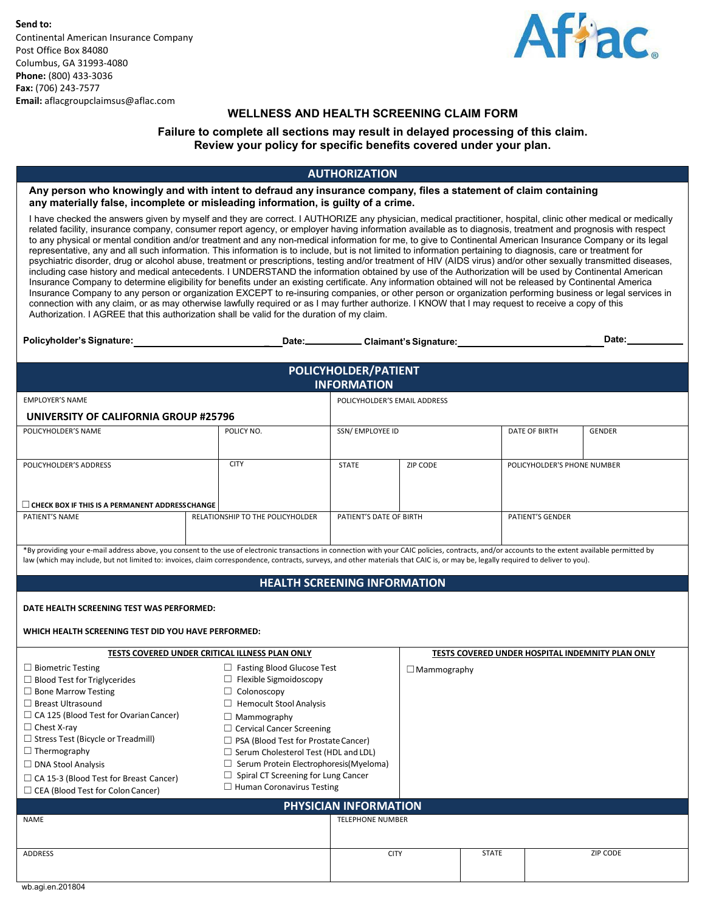**Send to:** Continental American Insurance Company Post Office Box 84080 Columbus, GA 31993-4080 **Phone:** (800) 433-3036 **Fax:** (706) 243-7577 **Email:** [aflacgroupclaimsus@aflac.com](mailto:aflacgroupclaimsus@aflac.com)



# **WELLNESS AND HEALTH SCREENING CLAIM FORM**

### **Failure to complete all sections may result in delayed processing of this claim. Review your policy for specific benefits covered under your plan.**

## **AUTHORIZATION**

**Any person who knowingly and with intent to defraud any insurance company, files a statement of claim containing any materially false, incomplete or misleading information, is guilty of a crime.**

I have checked the answers given by myself and they are correct. I AUTHORIZE any physician, medical practitioner, hospital, clinic other medical or medically related facility, insurance company, consumer report agency, or employer having information available as to diagnosis, treatment and prognosis with respect to any physical or mental condition and/or treatment and any non-medical information for me, to give to Continental American Insurance Company or its legal representative, any and all such information. This information is to include, but is not limited to information pertaining to diagnosis, care or treatment for psychiatric disorder, drug or alcohol abuse, treatment or prescriptions, testing and/or treatment of HIV (AIDS virus) and/or other sexually transmitted diseases, including case history and medical antecedents. I UNDERSTAND the information obtained by use of the Authorization will be used by Continental American Insurance Company to determine eligibility for benefits under an existing certificate. Any information obtained will not be released by Continental America Insurance Company to any person or organization EXCEPT to re-insuring companies, or other person or organization performing business or legal services in connection with any claim, or as may otherwise lawfully required or as I may further authorize. I KNOW that I may request to receive a copy of this Authorization. I AGREE that this authorization shall be valid for the duration of my claim.

| Policyholder's Signature:                      | Date: $\qquad \qquad$            |                              | Claimant's Signature: |                             | Date:         |  |  |  |
|------------------------------------------------|----------------------------------|------------------------------|-----------------------|-----------------------------|---------------|--|--|--|
| POLICYHOLDER/PATIENT<br><b>INFORMATION</b>     |                                  |                              |                       |                             |               |  |  |  |
| <b>EMPLOYER'S NAME</b>                         |                                  | POLICYHOLDER'S EMAIL ADDRESS |                       |                             |               |  |  |  |
| UNIVERSITY OF CALIFORNIA GROUP #25796          |                                  |                              |                       |                             |               |  |  |  |
| POLICYHOLDER'S NAME                            | POLICY NO.                       | SSN/ EMPLOYEE ID             |                       | DATE OF BIRTH               | <b>GENDER</b> |  |  |  |
|                                                |                                  |                              |                       |                             |               |  |  |  |
| POLICYHOLDER'S ADDRESS                         | <b>CITY</b>                      | <b>STATE</b>                 | ZIP CODE              | POLICYHOLDER'S PHONE NUMBER |               |  |  |  |
|                                                |                                  |                              |                       |                             |               |  |  |  |
| CHECK BOX IF THIS IS A PERMANENT ADDRESSCHANGE |                                  |                              |                       |                             |               |  |  |  |
| PATIENT'S NAME                                 | RELATIONSHIP TO THE POLICYHOLDER | PATIENT'S DATE OF BIRTH      |                       | <b>PATIENT'S GENDER</b>     |               |  |  |  |

\*By providing your e-mail address above, you consent to the use of electronic transactions in connection with your CAIC policies, contracts, and/or accounts to the extent available permitted by law (which may include, but not limited to: invoices, claim correspondence, contracts, surveys, and other materials that CAIC is, or may be, legally required to deliver to you).

### **HEALTH SCREENING INFORMATION**

| DATE HEALTH SCREENING TEST WAS PERFORMED:                                                                                                                                                                                                                                                                                                                                                      |                                                                                                                                                                                                                                                                                                                                                                                                         |                         |                                                  |              |                 |  |  |  |
|------------------------------------------------------------------------------------------------------------------------------------------------------------------------------------------------------------------------------------------------------------------------------------------------------------------------------------------------------------------------------------------------|---------------------------------------------------------------------------------------------------------------------------------------------------------------------------------------------------------------------------------------------------------------------------------------------------------------------------------------------------------------------------------------------------------|-------------------------|--------------------------------------------------|--------------|-----------------|--|--|--|
| WHICH HEALTH SCREENING TEST DID YOU HAVE PERFORMED:                                                                                                                                                                                                                                                                                                                                            |                                                                                                                                                                                                                                                                                                                                                                                                         |                         |                                                  |              |                 |  |  |  |
| TESTS COVERED UNDER CRITICAL ILLNESS PLAN ONLY                                                                                                                                                                                                                                                                                                                                                 |                                                                                                                                                                                                                                                                                                                                                                                                         |                         | TESTS COVERED UNDER HOSPITAL INDEMNITY PLAN ONLY |              |                 |  |  |  |
| $\Box$ Biometric Testing<br>$\Box$ Blood Test for Triglycerides<br>$\Box$ Bone Marrow Testing<br>$\Box$ Breast Ultrasound<br>$\Box$ CA 125 (Blood Test for Ovarian Cancer)<br>$\Box$ Chest X-ray<br>$\Box$ Stress Test (Bicycle or Treadmill)<br>$\Box$ Thermography<br>$\Box$ DNA Stool Analysis<br>$\Box$ CA 15-3 (Blood Test for Breast Cancer)<br>$\Box$ CEA (Blood Test for Colon Cancer) | $\Box$ Fasting Blood Glucose Test<br>$\Box$ Flexible Sigmoidoscopy<br>Colonoscopy<br><b>Hemocult Stool Analysis</b><br>$\Box$ Mammography<br>$\Box$ Cervical Cancer Screening<br>$\Box$ PSA (Blood Test for Prostate Cancer)<br>$\Box$ Serum Cholesterol Test (HDL and LDL)<br>Serum Protein Electrophoresis(Myeloma)<br>$\Box$ Spiral CT Screening for Lung Cancer<br>$\Box$ Human Coronavirus Testing |                         | $\Box$ Mammography                               |              |                 |  |  |  |
| <b>PHYSICIAN INFORMATION</b>                                                                                                                                                                                                                                                                                                                                                                   |                                                                                                                                                                                                                                                                                                                                                                                                         |                         |                                                  |              |                 |  |  |  |
| <b>NAME</b>                                                                                                                                                                                                                                                                                                                                                                                    |                                                                                                                                                                                                                                                                                                                                                                                                         | <b>TELEPHONE NUMBER</b> |                                                  |              |                 |  |  |  |
|                                                                                                                                                                                                                                                                                                                                                                                                |                                                                                                                                                                                                                                                                                                                                                                                                         |                         |                                                  |              |                 |  |  |  |
| <b>ADDRESS</b>                                                                                                                                                                                                                                                                                                                                                                                 | <b>CITY</b>                                                                                                                                                                                                                                                                                                                                                                                             |                         |                                                  | <b>STATE</b> | <b>ZIP CODE</b> |  |  |  |